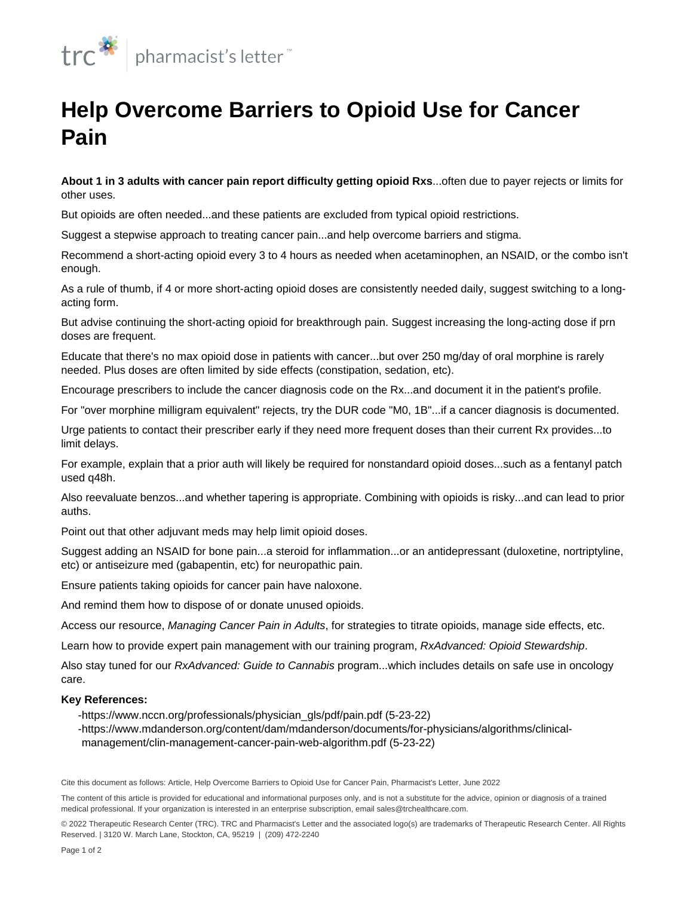

## **Help Overcome Barriers to Opioid Use for Cancer Pain**

**About 1 in 3 adults with cancer pain report difficulty getting opioid Rxs**...often due to payer rejects or limits for other uses.

But opioids are often needed...and these patients are excluded from typical [opioid restrictions](/content/segments/prl/2016/may/appropriate-opioid-use-9660).

Suggest a stepwise approach to treating cancer pain...and help overcome barriers and stigma.

Recommend a short-acting opioid every 3 to 4 hours as needed when acetaminophen, an NSAID, or the combo isn't enough.

As a rule of thumb, if 4 or more short-acting opioid doses are consistently needed daily, suggest switching to a longacting form.

But advise continuing the short-acting opioid for breakthrough pain. Suggest increasing the long-acting dose if prn doses are frequent.

Educate that there's no max opioid dose in patients with cancer...but over [250 mg/day of oral morphine](/content/segments/prl/2015/jul/equianalgesic-dosing-of-opioids-for-pain-management-8635) is rarely needed. Plus doses are often limited by side effects ([constipation,](/content/articles/pl/2017/dec/emphasize-an-effective-bowel-regimen-for-opioid-induced-constipation) sedation, etc).

Encourage prescribers to include the cancer diagnosis code on the Rx...and document it in the patient's profile.

For "over morphine milligram equivalent" rejects, try the DUR code "M0, 1B"...if a cancer diagnosis is documented.

Urge patients to contact their prescriber early if they need more frequent doses than their current Rx provides...to limit delays.

For example, explain that a prior auth will likely be required for nonstandard opioid doses...such as a fentanyl patch used q48h.

Also reevaluate [benzos](/content/articles/pl/2020/dec/consider-strategies-for-safe-use-of-benzodiazepines)...and whether tapering is appropriate. Combining with opioids is risky...and can lead to prior auths.

Point out that other adjuvant meds may help limit opioid doses.

Suggest adding an NSAID for bone pain...a steroid for inflammation...or an antidepressant (duloxetine, nortriptyline, etc) or antiseizure med (gabapentin, etc) for [neuropathic pain.](/content/segments/prl/2015/nov/pharmacotherapy-of-neuropathic-pain-9101)

Ensure patients taking opioids for cancer pain have [naloxone](/content/segments/prl/2016/aug/naloxone-quick-start-guide-10013).

And remind them [how to dispose of](/content/articles/pl/2020/apr/highlight-med-disposal-options-for-patients) or donate unused opioids.

Access our resource, Managing Cancer Pain in Adults, for strategies to titrate opioids, manage side effects, etc.

Learn how to provide expert pain management with our training program, RxAdvanced: Opioid Stewardship.

Also stay tuned for our RxAdvanced: Guide to Cannabis program...which includes details on safe use in oncology care.

## **Key References:**

-https://www.nccn.org/professionals/physician\_gls/pdf/pain.pdf (5-23-22)

https://www.mdanderson.org/content/dam/mdanderson/documents/for-physicians/algorithms/clinical- management/clin-management-cancer-pain-web-algorithm.pdf (5-23-22)

Cite this document as follows: Article, Help Overcome Barriers to Opioid Use for Cancer Pain, Pharmacist's Letter, June 2022

© 2022 Therapeutic Research Center (TRC). TRC and Pharmacist's Letter and the associated logo(s) are trademarks of Therapeutic Research Center. All Rights Reserved. | 3120 W. March Lane, Stockton, CA, 95219 | (209) 472-2240

The content of this article is provided for educational and informational purposes only, and is not a substitute for the advice, opinion or diagnosis of a trained medical professional. If your organization is interested in an enterprise subscription, email sales@trchealthcare.com.